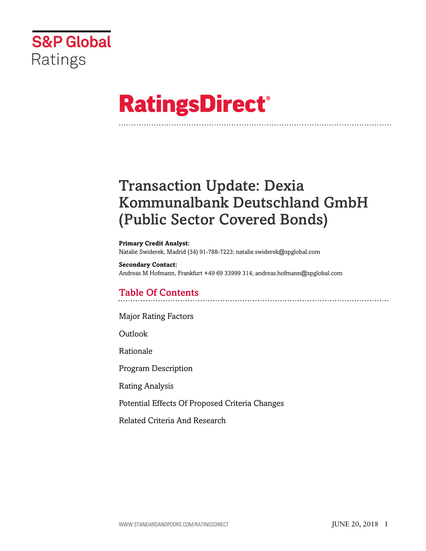

# **RatingsDirect®**

## Transaction Update: Dexia Kommunalbank Deutschland GmbH (Public Sector Covered Bonds)

#### **Primary Credit Analyst:**

Natalie Swiderek, Madrid (34) 91-788-7223; natalie.swiderek@spglobal.com

#### **Secondary Contact:**

Andreas M Hofmann, Frankfurt +49 69 33999 314; andreas.hofmann@spglobal.com

## Table Of Contents

[Major Rating Factors](#page-1-0)

[Outlook](#page-2-0)

[Rationale](#page-2-1)

[Program Description](#page-2-2)

[Rating Analysis](#page-3-0)

[Potential Effects Of Proposed Criteria Changes](#page-8-0)

[Related Criteria And Research](#page-8-1)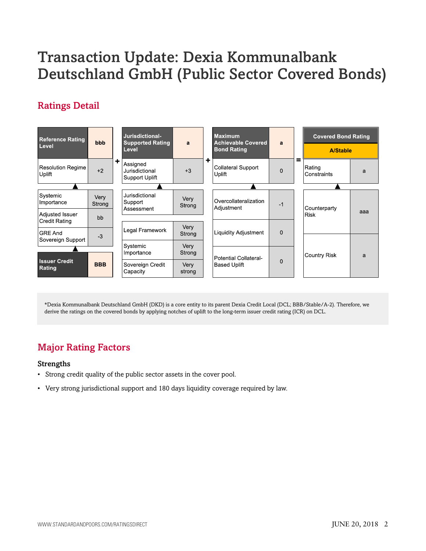## Transaction Update: Dexia Kommunalbank Deutschland GmbH (Public Sector Covered Bonds)

## Ratings Detail



\*Dexia Kommunalbank Deutschland GmbH (DKD) is a core entity to its parent Dexia Credit Local (DCL; BBB/Stable/A-2). Therefore, we derive the ratings on the covered bonds by applying notches of uplift to the long-term issuer credit rating (ICR) on DCL.

## <span id="page-1-0"></span>Major Rating Factors

#### Strengths

- Strong credit quality of the public sector assets in the cover pool.
- Very strong jurisdictional support and 180 days liquidity coverage required by law.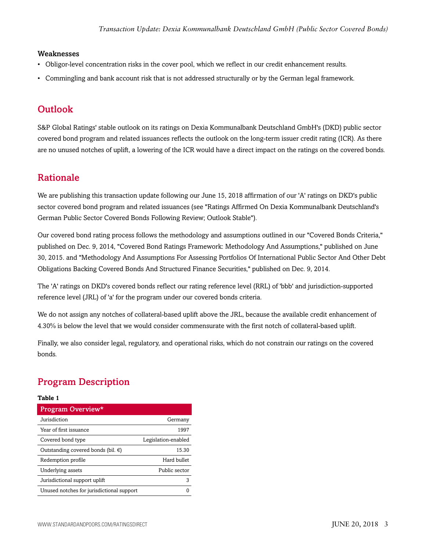#### Weaknesses

- Obligor-level concentration risks in the cover pool, which we reflect in our credit enhancement results.
- Commingling and bank account risk that is not addressed structurally or by the German legal framework.

## <span id="page-2-0"></span>**Outlook**

S&P Global Ratings' stable outlook on its ratings on Dexia Kommunalbank Deutschland GmbH's (DKD) public sector covered bond program and related issuances reflects the outlook on the long-term issuer credit rating (ICR). As there are no unused notches of uplift, a lowering of the ICR would have a direct impact on the ratings on the covered bonds.

## <span id="page-2-1"></span>Rationale

We are publishing this transaction update following our June 15, 2018 affirmation of our 'A' ratings on DKD's public sector covered bond program and related issuances (see "Ratings Affirmed On Dexia Kommunalbank Deutschland's German Public Sector Covered Bonds Following Review; Outlook Stable").

Our covered bond rating process follows the methodology and assumptions outlined in our "Covered Bonds Criteria," published on Dec. 9, 2014, "Covered Bond Ratings Framework: Methodology And Assumptions," published on June 30, 2015. and "Methodology And Assumptions For Assessing Portfolios Of International Public Sector And Other Debt Obligations Backing Covered Bonds And Structured Finance Securities," published on Dec. 9, 2014.

The 'A' ratings on DKD's covered bonds reflect our rating reference level (RRL) of 'bbb' and jurisdiction-supported reference level (JRL) of 'a' for the program under our covered bonds criteria.

We do not assign any notches of collateral-based uplift above the JRL, because the available credit enhancement of 4.30% is below the level that we would consider commensurate with the first notch of collateral-based uplift.

Finally, we also consider legal, regulatory, and operational risks, which do not constrain our ratings on the covered bonds.

## <span id="page-2-2"></span>Program Description

#### **Table 1**

| Program Overview*                            |                     |
|----------------------------------------------|---------------------|
| Jurisdiction                                 | Germany             |
| Year of first issuance                       | 1997                |
| Covered bond type                            | Legislation-enabled |
| Outstanding covered bonds (bil. $\epsilon$ ) | 15.30               |
| Redemption profile                           | Hard bullet         |
| Underlying assets                            | Public sector       |
| Jurisdictional support uplift                | 3                   |
| Unused notches for jurisdictional support    |                     |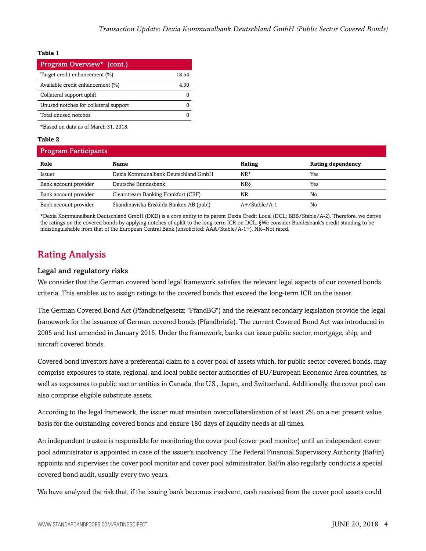#### **Table 1**

| Program Overview* (cont.)             |       |
|---------------------------------------|-------|
| Target credit enhancement (%)         | 18.54 |
| Available credit enhancement (%)      | 4.30  |
| Collateral support uplift             |       |
| Unused notches for collateral support |       |
| Total unused notches                  |       |

\*Based on data as of March 31, 2018.

#### **Table 2**

| <b>Program Participants</b> |                                         |                  |                   |  |
|-----------------------------|-----------------------------------------|------------------|-------------------|--|
| Role                        | Name                                    | Rating           | Rating dependency |  |
| Issuer                      | Dexia Kommunalbank Deutschland GmbH     | $NR*$            | Yes               |  |
| Bank account provider       | Deutsche Bundesbank                     | NRδ              | Yes               |  |
| Bank account provider       | Clearstream Banking Frankfurt (CBF)     | NR               | No                |  |
| Bank account provider       | Skandinaviska Enskilda Banken AB (publ) | $A+$ /Stable/A-1 | No                |  |

\*Dexia Kommunalbank Deutschland GmbH (DKD) is a core entity to its parent Dexia Credit Local (DCL; BBB/Stable/A-2). Therefore, we derive the ratings on the covered bonds by applying notches of uplift to the long-term ICR on DCL. §We consider Bundesbank's credit standing to be indistinguishable from that of the European Central Bank (unsolicited; AAA/Stable/A-1+). NR--Not rated.

## <span id="page-3-0"></span>Rating Analysis

#### Legal and regulatory risks

We consider that the German covered bond legal framework satisfies the relevant legal aspects of our covered bonds criteria. This enables us to assign ratings to the covered bonds that exceed the long-term ICR on the issuer.

The German Covered Bond Act (Pfandbriefgesetz; "PfandBG") and the relevant secondary legislation provide the legal framework for the issuance of German covered bonds (Pfandbriefe). The current Covered Bond Act was introduced in 2005 and last amended in January 2015. Under the framework, banks can issue public sector, mortgage, ship, and aircraft covered bonds.

Covered bond investors have a preferential claim to a cover pool of assets which, for public sector covered bonds, may comprise exposures to state, regional, and local public sector authorities of EU/European Economic Area countries, as well as exposures to public sector entities in Canada, the U.S., Japan, and Switzerland. Additionally, the cover pool can also comprise eligible substitute assets.

According to the legal framework, the issuer must maintain overcollateralization of at least 2% on a net present value basis for the outstanding covered bonds and ensure 180 days of liquidity needs at all times.

An independent trustee is responsible for monitoring the cover pool (cover pool monitor) until an independent cover pool administrator is appointed in case of the issuer's insolvency. The Federal Financial Supervisory Authority (BaFin) appoints and supervises the cover pool monitor and cover pool administrator. BaFin also regularly conducts a special covered bond audit, usually every two years.

We have analyzed the risk that, if the issuing bank becomes insolvent, cash received from the cover pool assets could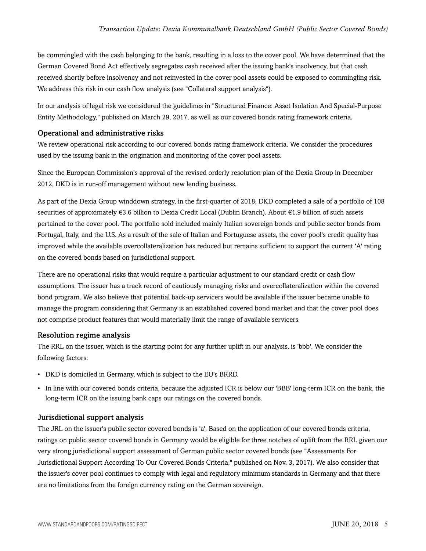be commingled with the cash belonging to the bank, resulting in a loss to the cover pool. We have determined that the German Covered Bond Act effectively segregates cash received after the issuing bank's insolvency, but that cash received shortly before insolvency and not reinvested in the cover pool assets could be exposed to commingling risk. We address this risk in our cash flow analysis (see "Collateral support analysis").

In our analysis of legal risk we considered the guidelines in "Structured Finance: Asset Isolation And Special-Purpose Entity Methodology," published on March 29, 2017, as well as our covered bonds rating framework criteria.

#### Operational and administrative risks

We review operational risk according to our covered bonds rating framework criteria. We consider the procedures used by the issuing bank in the origination and monitoring of the cover pool assets.

Since the European Commission's approval of the revised orderly resolution plan of the Dexia Group in December 2012, DKD is in run-off management without new lending business.

As part of the Dexia Group winddown strategy, in the first-quarter of 2018, DKD completed a sale of a portfolio of 108 securities of approximately €3.6 billion to Dexia Credit Local (Dublin Branch). About €1.9 billion of such assets pertained to the cover pool. The portfolio sold included mainly Italian sovereign bonds and public sector bonds from Portugal, Italy, and the U.S. As a result of the sale of Italian and Portuguese assets, the cover pool's credit quality has improved while the available overcollateralization has reduced but remains sufficient to support the current 'A' rating on the covered bonds based on jurisdictional support.

There are no operational risks that would require a particular adjustment to our standard credit or cash flow assumptions. The issuer has a track record of cautiously managing risks and overcollateralization within the covered bond program. We also believe that potential back-up servicers would be available if the issuer became unable to manage the program considering that Germany is an established covered bond market and that the cover pool does not comprise product features that would materially limit the range of available servicers.

#### Resolution regime analysis

The RRL on the issuer, which is the starting point for any further uplift in our analysis, is 'bbb'. We consider the following factors:

- DKD is domiciled in Germany, which is subject to the EU's BRRD.
- In line with our covered bonds criteria, because the adjusted ICR is below our 'BBB' long-term ICR on the bank, the long-term ICR on the issuing bank caps our ratings on the covered bonds.

#### Jurisdictional support analysis

The JRL on the issuer's public sector covered bonds is 'a'. Based on the application of our covered bonds criteria, ratings on public sector covered bonds in Germany would be eligible for three notches of uplift from the RRL given our very strong jurisdictional support assessment of German public sector covered bonds (see "Assessments For Jurisdictional Support According To Our Covered Bonds Criteria," published on Nov. 3, 2017). We also consider that the issuer's cover pool continues to comply with legal and regulatory minimum standards in Germany and that there are no limitations from the foreign currency rating on the German sovereign.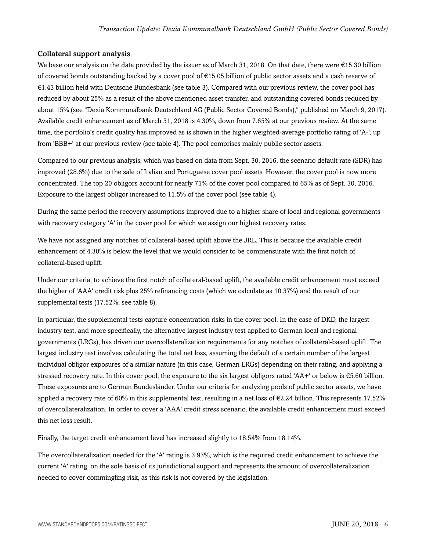#### Collateral support analysis

We base our analysis on the data provided by the issuer as of March 31, 2018. On that date, there were €15.30 billion of covered bonds outstanding backed by a cover pool of €15.05 billion of public sector assets and a cash reserve of €1.43 billion held with Deutsche Bundesbank (see table 3). Compared with our previous review, the cover pool has reduced by about 25% as a result of the above mentioned asset transfer, and outstanding covered bonds reduced by about 15% (see "Dexia Kommunalbank Deutschland AG (Public Sector Covered Bonds)," published on March 9, 2017). Available credit enhancement as of March 31, 2018 is 4.30%, down from 7.65% at our previous review. At the same time, the portfolio's credit quality has improved as is shown in the higher weighted-average portfolio rating of 'A-', up from 'BBB+' at our previous review (see table 4). The pool comprises mainly public sector assets.

Compared to our previous analysis, which was based on data from Sept. 30, 2016, the scenario default rate (SDR) has improved (28.6%) due to the sale of Italian and Portuguese cover pool assets. However, the cover pool is now more concentrated. The top 20 obligors account for nearly 71% of the cover pool compared to 65% as of Sept. 30, 2016. Exposure to the largest obligor increased to 11.5% of the cover pool (see table 4).

During the same period the recovery assumptions improved due to a higher share of local and regional governments with recovery category 'A' in the cover pool for which we assign our highest recovery rates.

We have not assigned any notches of collateral-based uplift above the JRL. This is because the available credit enhancement of 4.30% is below the level that we would consider to be commensurate with the first notch of collateral-based uplift.

Under our criteria, to achieve the first notch of collateral-based uplift, the available credit enhancement must exceed the higher of 'AAA' credit risk plus 25% refinancing costs (which we calculate as 10.37%) and the result of our supplemental tests (17.52%; see table 8).

In particular, the supplemental tests capture concentration risks in the cover pool. In the case of DKD, the largest industry test, and more specifically, the alternative largest industry test applied to German local and regional governments (LRGs), has driven our overcollateralization requirements for any notches of collateral-based uplift. The largest industry test involves calculating the total net loss, assuming the default of a certain number of the largest individual obligor exposures of a similar nature (in this case, German LRGs) depending on their rating, and applying a stressed recovery rate. In this cover pool, the exposure to the six largest obligors rated 'AA+' or below is  $€5.60$  billion. These exposures are to German Bundesländer. Under our criteria for analyzing pools of public sector assets, we have applied a recovery rate of 60% in this supplemental test, resulting in a net loss of  $\epsilon$ 2.24 billion. This represents 17.52% of overcollateralization. In order to cover a 'AAA' credit stress scenario, the available credit enhancement must exceed this net loss result.

Finally, the target credit enhancement level has increased slightly to 18.54% from 18.14%.

The overcollateralization needed for the 'A' rating is 3.93%, which is the required credit enhancement to achieve the current 'A' rating, on the sole basis of its jurisdictional support and represents the amount of overcollateralization needed to cover commingling risk, as this risk is not covered by the legislation.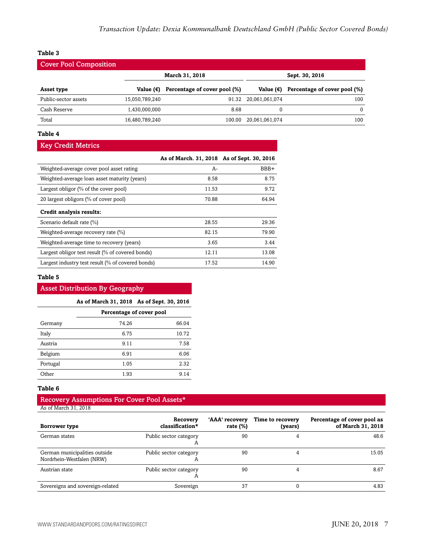#### **Table 3**

| <b>Cover Pool Composition</b> |                    |                              |                      |                              |  |
|-------------------------------|--------------------|------------------------------|----------------------|------------------------------|--|
|                               |                    | March 31, 2018               | Sept. 30, 2016       |                              |  |
| Asset type                    | Value $(\epsilon)$ | Percentage of cover pool (%) | Value $(\epsilon)$   | Percentage of cover pool (%) |  |
| Public-sector assets          | 15,050,789,240     |                              | 91.32 20,061,061,074 | 100                          |  |
| Cash Reserve                  | 1,430,000,000      | 8.68                         |                      | $\Omega$                     |  |
| Total                         | 16,480,789,240     | 100.00                       | 20,061,061,074       | 100                          |  |

#### **Table 4**

#### Key Credit Metrics

|                                                   | As of March. 31, 2018 As of Sept. 30, 2016 |       |
|---------------------------------------------------|--------------------------------------------|-------|
| Weighted-average cover pool asset rating          | $A-$                                       | BBB+  |
| Weighted-average loan asset maturity (years)      | 8.58                                       | 8.75  |
| Largest obligor $(\%$ of the cover pool)          | 11.53                                      | 9.72  |
| 20 largest obligors (% of cover pool)             | 70.88                                      | 64.94 |
| Credit analysis results:                          |                                            |       |
| Scenario default rate (%)                         | 28.55                                      | 29.36 |
| Weighted-average recovery rate (%)                | 82.15                                      | 79.90 |
| Weighted-average time to recovery (years)         | 3.65                                       | 3.44  |
| Largest obligor test result (% of covered bonds)  | 12.11                                      | 13.08 |
| Largest industry test result (% of covered bonds) | 17.52                                      | 14.90 |

#### **Table 5**

#### Asset Distribution By Geography

#### **As of March 31, 2018 As of Sept. 30, 2016**

|          | Percentage of cover pool |       |
|----------|--------------------------|-------|
| Germany  | 74.26                    | 66.04 |
| Italy    | 6.75                     | 10.72 |
| Austria  | 9.11                     | 7.58  |
| Belgium  | 6.91                     | 6.06  |
| Portugal | 1.05                     | 2.32  |
| Other    | 1.93                     | 9.14  |

#### **Table 6**

#### Recovery Assumptions For Cover Pool Assets\* As of March 31, 2018

| Borrower type                                              | Recovery<br>classification*            | 'AAA' recovery<br>rate $(\%)$ | Time to recovery<br>(years) | Percentage of cover pool as<br>of March 31, 2018 |
|------------------------------------------------------------|----------------------------------------|-------------------------------|-----------------------------|--------------------------------------------------|
| German states                                              | Public sector category<br>$\mathsf{A}$ | 90                            |                             | 48.6                                             |
| German municipalities outside<br>Nordrhein-Westfalen (NRW) | Public sector category<br>A            | 90                            |                             | 15.05                                            |
| Austrian state                                             | Public sector category<br>A            | 90                            |                             | 8.67                                             |
| Sovereigns and sovereign-related                           | Sovereign                              | 37                            |                             | 4.83                                             |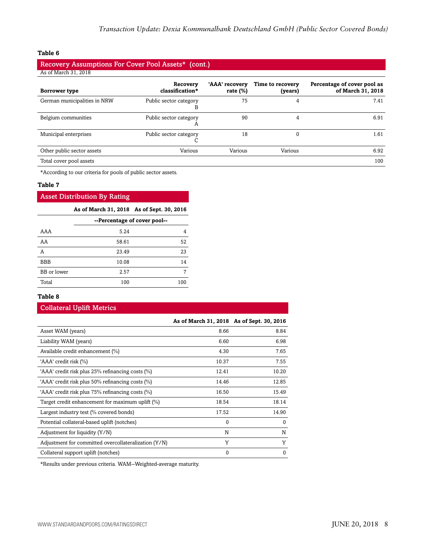#### **Table 6**

#### Recovery Assumptions For Cover Pool Assets\* (cont.) As of March 31, 2018

| Borrower type                | Recovery<br>classification* | 'AAA' recovery<br>rate $(\%)$ | Time to recovery<br>(years) | Percentage of cover pool as<br>of March 31, 2018 |
|------------------------------|-----------------------------|-------------------------------|-----------------------------|--------------------------------------------------|
| German municipalities in NRW | Public sector category<br>В | 75                            | 4                           | 7.41                                             |
| Belgium communities          | Public sector category<br>A | 90                            |                             | 6.91                                             |
| Municipal enterprises        | Public sector category      | 18                            | 0                           | 1.61                                             |
| Other public sector assets   | Various                     | Various                       | Various                     | 6.92                                             |
| Total cover pool assets      |                             |                               |                             | 100                                              |

\*According to our criteria for pools of public sector assets.

#### **Table 7**

#### Asset Distribution By Rating

#### **As of March 31, 2018 As of Sept. 30, 2016**

|             | --Percentage of cover pool-- |     |
|-------------|------------------------------|-----|
| AAA         | 5.24                         | 4   |
| AA          | 58.61                        | 52  |
| Α           | 23.49                        | 23  |
| <b>BBB</b>  | 10.08                        | 14  |
| BB or lower | 2.57                         |     |
| Total       | 100                          | 100 |

#### **Table 8**

#### Collateral Uplift Metrics

|                                                      | As of March 31, 2018 As of Sept. 30, 2016 |          |
|------------------------------------------------------|-------------------------------------------|----------|
| Asset WAM (years)                                    | 8.66                                      | 8.84     |
| Liability WAM (years)                                | 6.60                                      | 6.98     |
| Available credit enhancement (%)                     | 4.30                                      | 7.65     |
| 'AAA' credit risk (%)                                | 10.37                                     | 7.55     |
| 'AAA' credit risk plus 25% refinancing costs (%)     | 12.41                                     | 10.20    |
| 'AAA' credit risk plus 50% refinancing costs (%)     | 14.46                                     | 12.85    |
| 'AAA' credit risk plus 75% refinancing costs (%)     | 16.50                                     | 15.49    |
| Target credit enhancement for maximum uplift (%)     | 18.54                                     | 18.14    |
| Largest industry test (% covered bonds)              | 17.52                                     | 14.90    |
| Potential collateral-based uplift (notches)          | 0                                         | $\Omega$ |
| Adjustment for liquidity (Y/N)                       | N                                         | N        |
| Adjustment for committed overcollateralization (Y/N) | Y                                         | Y        |
| Collateral support uplift (notches)                  | 0                                         | $\Omega$ |

\*Results under previous criteria. WAM--Weighted-average maturity.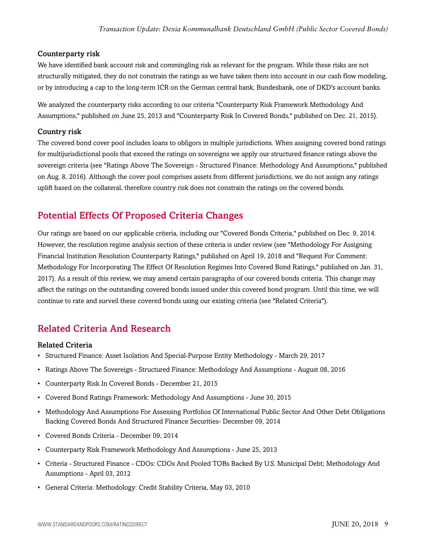#### Counterparty risk

We have identified bank account risk and commingling risk as relevant for the program. While these risks are not structurally mitigated, they do not constrain the ratings as we have taken them into account in our cash flow modeling, or by introducing a cap to the long-term ICR on the German central bank, Bundesbank, one of DKD's account banks.

We analyzed the counterparty risks according to our criteria "Counterparty Risk Framework Methodology And Assumptions," published on June 25, 2013 and "Counterparty Risk In Covered Bonds," published on Dec. 21, 2015).

#### Country risk

The covered bond cover pool includes loans to obligors in multiple jurisdictions. When assigning covered bond ratings for multijurisdictional pools that exceed the ratings on sovereigns we apply our structured finance ratings above the sovereign criteria (see "Ratings Above The Sovereign - Structured Finance: Methodology And Assumptions," published on Aug. 8, 2016). Although the cover pool comprises assets from different jurisdictions, we do not assign any ratings uplift based on the collateral, therefore country risk does not constrain the ratings on the covered bonds.

## <span id="page-8-0"></span>Potential Effects Of Proposed Criteria Changes

Our ratings are based on our applicable criteria, including our "Covered Bonds Criteria," published on Dec. 9, 2014. However, the resolution regime analysis section of these criteria is under review (see "Methodology For Assigning Financial Institution Resolution Counterparty Ratings," published on April 19, 2018 and "Request For Comment: Methodology For Incorporating The Effect Of Resolution Regimes Into Covered Bond Ratings," published on Jan. 31, 2017). As a result of this review, we may amend certain paragraphs of our covered bonds criteria. This change may affect the ratings on the outstanding covered bonds issued under this covered bond program. Until this time, we will continue to rate and surveil these covered bonds using our existing criteria (see "Related Criteria").

## <span id="page-8-1"></span>Related Criteria And Research

#### Related Criteria

- Structured Finance: Asset Isolation And Special-Purpose Entity Methodology March 29, 2017
- Ratings Above The Sovereign Structured Finance: Methodology And Assumptions August 08, 2016
- Counterparty Risk In Covered Bonds December 21, 2015
- Covered Bond Ratings Framework: Methodology And Assumptions June 30, 2015
- Methodology And Assumptions For Assessing Portfolios Of International Public Sector And Other Debt Obligations Backing Covered Bonds And Structured Finance Securities- December 09, 2014
- Covered Bonds Criteria December 09, 2014
- Counterparty Risk Framework Methodology And Assumptions June 25, 2013
- Criteria Structured Finance CDOs: CDOs And Pooled TOBs Backed By U.S. Municipal Debt; Methodology And Assumptions - April 03, 2012
- General Criteria: Methodology: Credit Stability Criteria, May 03, 2010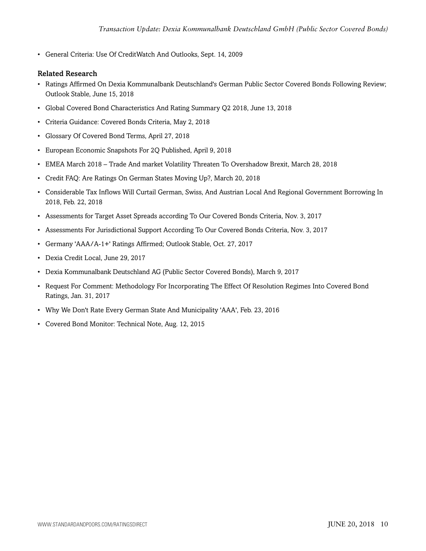• General Criteria: Use Of CreditWatch And Outlooks, Sept. 14, 2009

#### Related Research

- Ratings Affirmed On Dexia Kommunalbank Deutschland's German Public Sector Covered Bonds Following Review; Outlook Stable, June 15, 2018
- Global Covered Bond Characteristics And Rating Summary Q2 2018, June 13, 2018
- Criteria Guidance: Covered Bonds Criteria, May 2, 2018
- Glossary Of Covered Bond Terms, April 27, 2018
- European Economic Snapshots For 2Q Published, April 9, 2018
- EMEA March 2018 Trade And market Volatility Threaten To Overshadow Brexit, March 28, 2018
- Credit FAQ: Are Ratings On German States Moving Up?, March 20, 2018
- Considerable Tax Inflows Will Curtail German, Swiss, And Austrian Local And Regional Government Borrowing In 2018, Feb. 22, 2018
- Assessments for Target Asset Spreads according To Our Covered Bonds Criteria, Nov. 3, 2017
- Assessments For Jurisdictional Support According To Our Covered Bonds Criteria, Nov. 3, 2017
- Germany 'AAA/A-1+' Ratings Affirmed; Outlook Stable, Oct. 27, 2017
- Dexia Credit Local, June 29, 2017
- Dexia Kommunalbank Deutschland AG (Public Sector Covered Bonds), March 9, 2017
- Request For Comment: Methodology For Incorporating The Effect Of Resolution Regimes Into Covered Bond Ratings, Jan. 31, 2017
- Why We Don't Rate Every German State And Municipality 'AAA', Feb. 23, 2016
- Covered Bond Monitor: Technical Note, Aug. 12, 2015